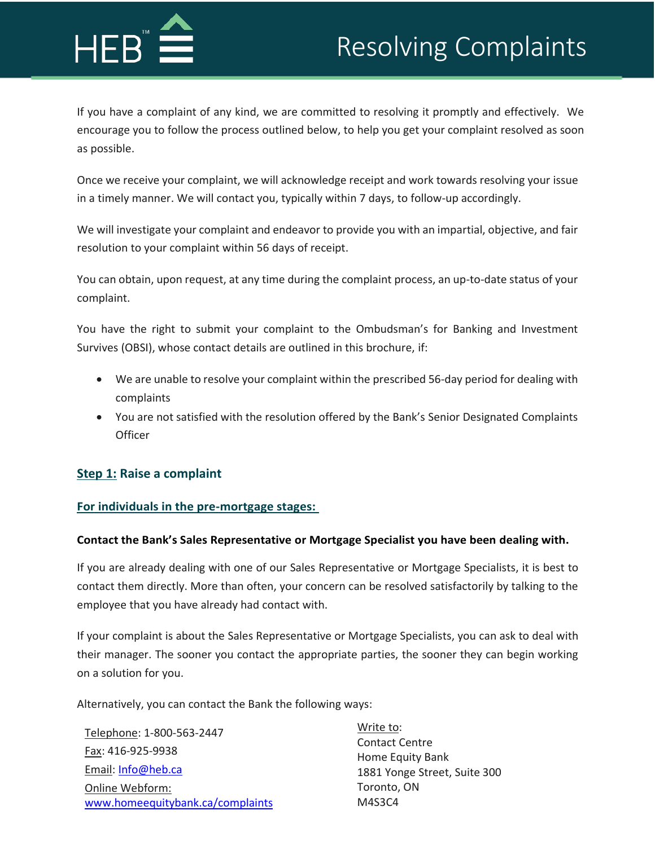# Resolving Complaints



If you have a complaint of any kind, we are committed to resolving it promptly and effectively. We encourage you to follow the process outlined below, to help you get your complaint resolved as soon as possible.

Once we receive your complaint, we will acknowledge receipt and work towards resolving your issue in a timely manner. We will contact you, typically within 7 days, to follow-up accordingly.

We will investigate your complaint and endeavor to provide you with an impartial, objective, and fair resolution to your complaint within 56 days of receipt.

You can obtain, upon request, at any time during the complaint process, an up-to-date status of your complaint.

You have the right to submit your complaint to the Ombudsman's for Banking and Investment Survives (OBSI), whose contact details are outlined in this brochure, if:

- We are unable to resolve your complaint within the prescribed 56-day period for dealing with complaints
- You are not satisfied with the resolution offered by the Bank's Senior Designated Complaints **Officer**

# **Step 1: Raise a complaint**

## **For individuals in the pre-mortgage stages:**

#### **Contact the Bank's Sales Representative or Mortgage Specialist you have been dealing with.**

If you are already dealing with one of our Sales Representative or Mortgage Specialists, it is best to contact them directly. More than often, your concern can be resolved satisfactorily by talking to the employee that you have already had contact with.

If your complaint is about the Sales Representative or Mortgage Specialists, you can ask to deal with their manager. The sooner you contact the appropriate parties, the sooner they can begin working on a solution for you.

Alternatively, you can contact the Bank the following ways:

| Telephone: 1-800-563-2447        | Write to:                                        |
|----------------------------------|--------------------------------------------------|
| Fax: 416-925-9938                | <b>Contact Centre</b>                            |
| Email: Info@heb.ca               | Home Equity Bank<br>1881 Yonge Street, Suite 300 |
| Online Webform:                  | Toronto, ON                                      |
| www.homeequitybank.ca/complaints | M4S3C4                                           |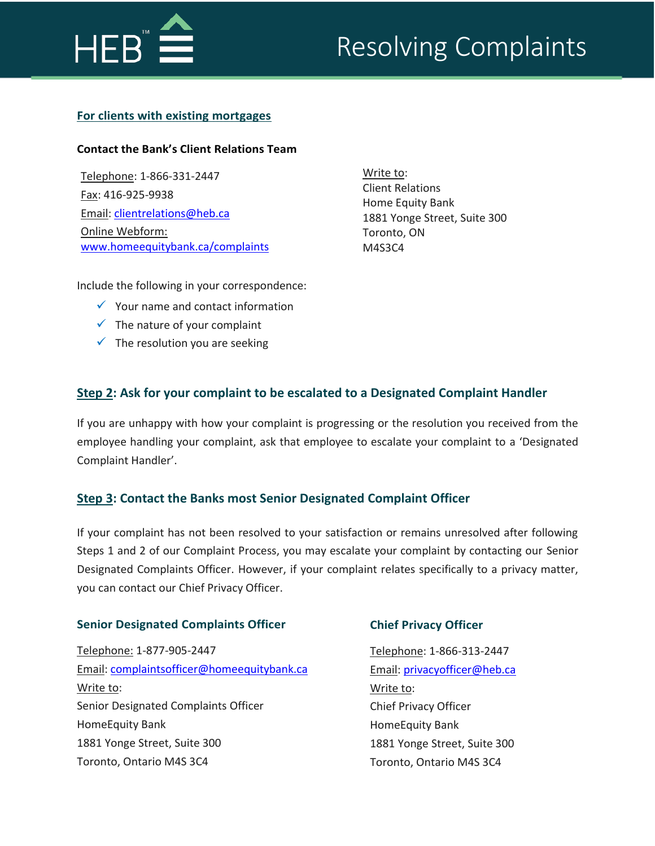

#### **For clients with existing mortgages**

# **Contact the Bank's Client Relations Team**

Telephone: 1-866-331-2447 Fax: 416-925-9938 Email[: clientrelations@heb.ca](mailto:clientrelations@heb.ca) Online Webform: www.homeequitybank.ca/complaints Write to: Client Relations Home Equity Bank 1881 Yonge Street, Suite 300 Toronto, ON M4S3C4

Include the following in your correspondence:

- $\checkmark$  Your name and contact information
- $\checkmark$  The nature of your complaint
- $\checkmark$  The resolution you are seeking

# **Step 2: Ask for your complaint to be escalated to a Designated Complaint Handler**

If you are unhappy with how your complaint is progressing or the resolution you received from the employee handling your complaint, ask that employee to escalate your complaint to a 'Designated Complaint Handler'.

## **Step 3: Contact the Banks most Senior Designated Complaint Officer**

If your complaint has not been resolved to your satisfaction or remains unresolved after following Steps 1 and 2 of our Complaint Process, you may escalate your complaint by contacting our Senior Designated Complaints Officer. However, if your complaint relates specifically to a privacy matter, you can contact our Chief Privacy Officer.

#### **Senior Designated Complaints Officer**

Telephone: 1-877-905-2447 Email: [complaintsoffice](mailto:complaintsofficer@homequitybank.ca)[r@homeequitybank.ca](mailto:r@homeequitybank.ca) Write to: Senior Designated Complaints Officer HomeEquity Bank 1881 Yonge Street, Suite 300 Toronto, Ontario M4S 3C4

#### **Chief Privacy Officer**

Telephone: 1-866-313-2447 Email: [privacyofficer@heb.ca](mailto:privacyofficer@heb.ca) Write to: Chief Privacy Officer HomeEquity Bank 1881 Yonge Street, Suite 300 Toronto, Ontario M4S 3C4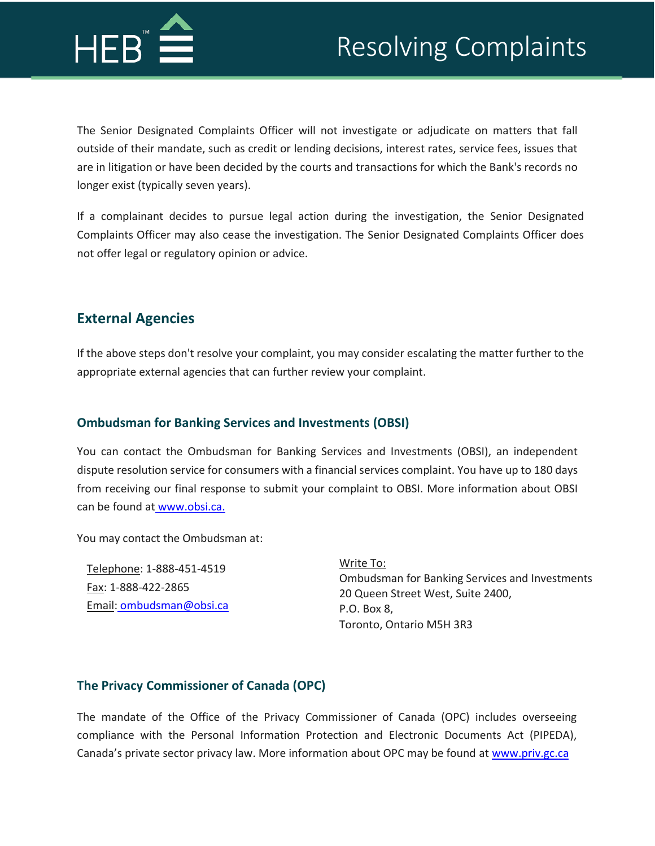

The Senior Designated Complaints Officer will not investigate or adjudicate on matters that fall outside of their mandate, such as credit or lending decisions, interest rates, service fees, issues that are in litigation or have been decided by the courts and transactions for which the Bank's records no longer exist (typically seven years).

If a complainant decides to pursue legal action during the investigation, the Senior Designated Complaints Officer may also cease the investigation. The Senior Designated Complaints Officer does not offer legal or regulatory opinion or advice.

# **External Agencies**

If the above steps don't resolve your complaint, you may consider escalating the matter further to the appropriate external agencies that can further review your complaint.

# **Ombudsman for Banking Services and Investments (OBSI)**

You can contact the Ombudsman for Banking Services and Investments (OBSI), an independent dispute [resolution](http://www.obsi.ca/) service for consumers with a financial services complaint. You have up to 180 days from receiving our final response to submit your complaint to OBSI. More information about OBSI [can be f](http://www.obsi.ca/)ound at [www.obsi.ca.](http://www.obsi.ca/)

You may contact the Ombudsman at:

Telephone: 1-888-451-4519 Fax[: 1-888-422-2865](mailto:ombudsman@obsi.ca) Email: [ombudsman@obsi.ca](mailto:ombudsman@obsi.ca)

Write To: Ombudsman for Banking Services and Investments 20 Queen Street West, Suite 2400, P.O. Box 8, Toronto, Ontario M5H 3R3

# **The Privacy Commissioner of Canada (OPC)**

The mandate of the Office of the Privacy Commissioner of Canada (OPC) includes overseeing compliance with the Personal Information Protection and Electronic Documents Act (PIPEDA), Canada's private sector privacy law. More information about OPC may be found at www.priv.gc.ca